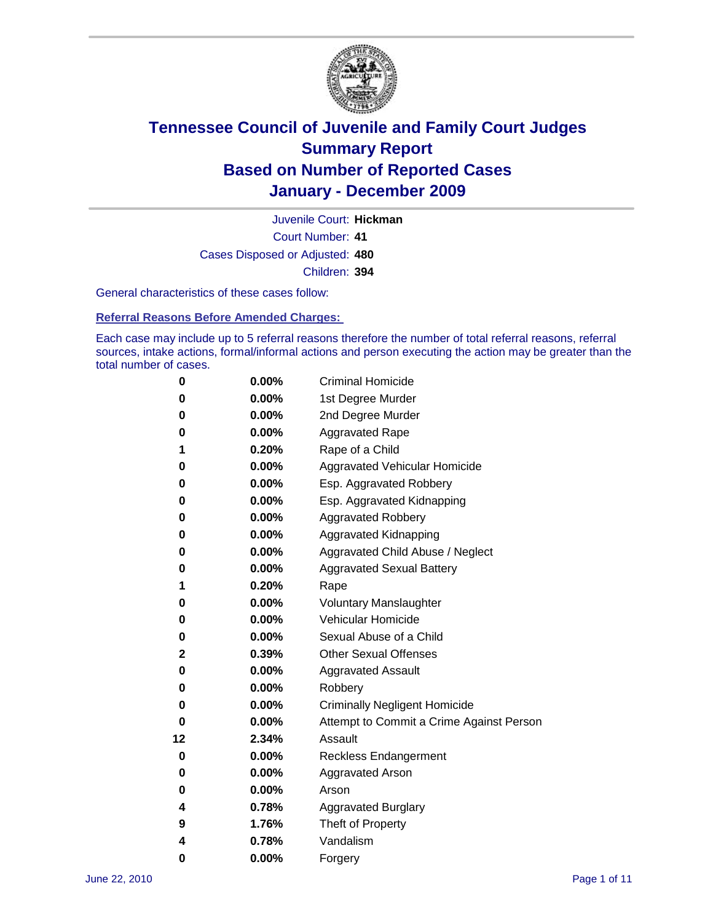

Court Number: **41** Juvenile Court: **Hickman** Cases Disposed or Adjusted: **480** Children: **394**

General characteristics of these cases follow:

**Referral Reasons Before Amended Charges:** 

Each case may include up to 5 referral reasons therefore the number of total referral reasons, referral sources, intake actions, formal/informal actions and person executing the action may be greater than the total number of cases.

| 0  | 0.00% | <b>Criminal Homicide</b>                 |
|----|-------|------------------------------------------|
| 0  | 0.00% | 1st Degree Murder                        |
| 0  | 0.00% | 2nd Degree Murder                        |
| 0  | 0.00% | <b>Aggravated Rape</b>                   |
| 1  | 0.20% | Rape of a Child                          |
| 0  | 0.00% | Aggravated Vehicular Homicide            |
| 0  | 0.00% | Esp. Aggravated Robbery                  |
| 0  | 0.00% | Esp. Aggravated Kidnapping               |
| 0  | 0.00% | <b>Aggravated Robbery</b>                |
| 0  | 0.00% | Aggravated Kidnapping                    |
| 0  | 0.00% | Aggravated Child Abuse / Neglect         |
| 0  | 0.00% | <b>Aggravated Sexual Battery</b>         |
| 1  | 0.20% | Rape                                     |
| 0  | 0.00% | <b>Voluntary Manslaughter</b>            |
| 0  | 0.00% | Vehicular Homicide                       |
| 0  | 0.00% | Sexual Abuse of a Child                  |
| 2  | 0.39% | <b>Other Sexual Offenses</b>             |
| 0  | 0.00% | <b>Aggravated Assault</b>                |
| 0  | 0.00% | Robbery                                  |
| 0  | 0.00% | <b>Criminally Negligent Homicide</b>     |
| 0  | 0.00% | Attempt to Commit a Crime Against Person |
| 12 | 2.34% | Assault                                  |
| 0  | 0.00% | <b>Reckless Endangerment</b>             |
| 0  | 0.00% | <b>Aggravated Arson</b>                  |
| 0  | 0.00% | Arson                                    |
| 4  | 0.78% | <b>Aggravated Burglary</b>               |
| 9  | 1.76% | Theft of Property                        |
| 4  | 0.78% | Vandalism                                |
| 0  | 0.00% | Forgery                                  |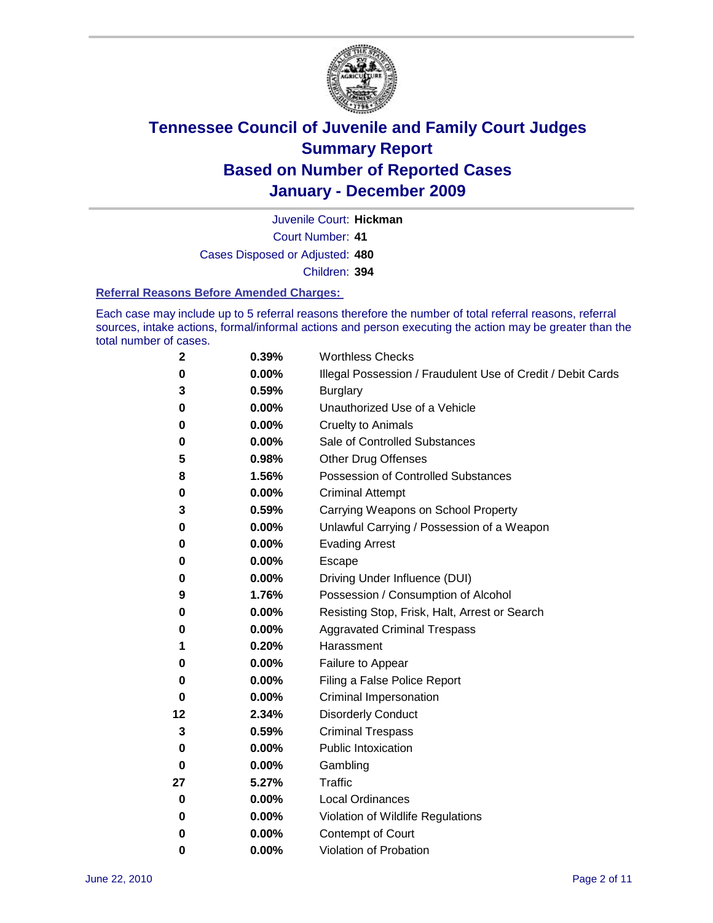

Juvenile Court: **Hickman**

Court Number: **41**

Cases Disposed or Adjusted: **480**

Children: **394**

### **Referral Reasons Before Amended Charges:**

Each case may include up to 5 referral reasons therefore the number of total referral reasons, referral sources, intake actions, formal/informal actions and person executing the action may be greater than the total number of cases.

| $\mathbf{2}$ | 0.39% | <b>Worthless Checks</b>                                     |
|--------------|-------|-------------------------------------------------------------|
| 0            | 0.00% | Illegal Possession / Fraudulent Use of Credit / Debit Cards |
| 3            | 0.59% | <b>Burglary</b>                                             |
| 0            | 0.00% | Unauthorized Use of a Vehicle                               |
| 0            | 0.00% | <b>Cruelty to Animals</b>                                   |
| 0            | 0.00% | Sale of Controlled Substances                               |
| 5            | 0.98% | <b>Other Drug Offenses</b>                                  |
| 8            | 1.56% | <b>Possession of Controlled Substances</b>                  |
| 0            | 0.00% | <b>Criminal Attempt</b>                                     |
| 3            | 0.59% | Carrying Weapons on School Property                         |
| 0            | 0.00% | Unlawful Carrying / Possession of a Weapon                  |
| 0            | 0.00% | <b>Evading Arrest</b>                                       |
| 0            | 0.00% | Escape                                                      |
| 0            | 0.00% | Driving Under Influence (DUI)                               |
| 9            | 1.76% | Possession / Consumption of Alcohol                         |
| 0            | 0.00% | Resisting Stop, Frisk, Halt, Arrest or Search               |
| 0            | 0.00% | <b>Aggravated Criminal Trespass</b>                         |
| 1            | 0.20% | Harassment                                                  |
| 0            | 0.00% | Failure to Appear                                           |
| 0            | 0.00% | Filing a False Police Report                                |
| 0            | 0.00% | Criminal Impersonation                                      |
| 12           | 2.34% | <b>Disorderly Conduct</b>                                   |
| 3            | 0.59% | <b>Criminal Trespass</b>                                    |
| 0            | 0.00% | <b>Public Intoxication</b>                                  |
| 0            | 0.00% | Gambling                                                    |
| 27           | 5.27% | <b>Traffic</b>                                              |
| 0            | 0.00% | <b>Local Ordinances</b>                                     |
| 0            | 0.00% | Violation of Wildlife Regulations                           |
| 0            | 0.00% | Contempt of Court                                           |
| 0            | 0.00% | Violation of Probation                                      |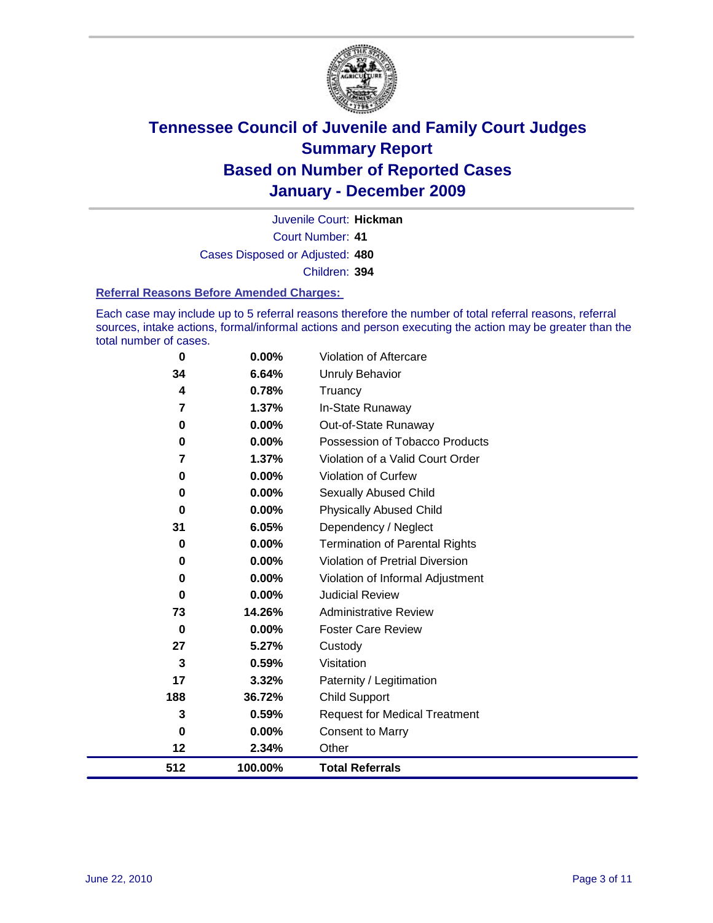

Court Number: **41** Juvenile Court: **Hickman** Cases Disposed or Adjusted: **480** Children: **394**

#### **Referral Reasons Before Amended Charges:**

Each case may include up to 5 referral reasons therefore the number of total referral reasons, referral sources, intake actions, formal/informal actions and person executing the action may be greater than the total number of cases.

| 188<br>3      | 36.72%<br>0.59% | <b>Child Support</b><br><b>Request for Medical Treatment</b>       |
|---------------|-----------------|--------------------------------------------------------------------|
| 17            | 3.32%           | Paternity / Legitimation                                           |
| 3             | 0.59%           | Visitation                                                         |
| 27            | 5.27%           | Custody                                                            |
| 0             | 0.00%           | <b>Foster Care Review</b>                                          |
| 73            | 14.26%          | <b>Administrative Review</b>                                       |
| 0             | 0.00%           | <b>Judicial Review</b>                                             |
| $\bf{0}$      | 0.00%           | Violation of Informal Adjustment                                   |
| 0             | 0.00%           | <b>Violation of Pretrial Diversion</b>                             |
| 0             | 0.00%           | <b>Termination of Parental Rights</b>                              |
| 31            | 6.05%           | Dependency / Neglect                                               |
| $\bf{0}$      | 0.00%           | <b>Physically Abused Child</b>                                     |
| $\bf{0}$      | 0.00%           | <b>Sexually Abused Child</b>                                       |
| 0             | 0.00%           | <b>Violation of Curfew</b>                                         |
| $\bf{0}$<br>7 | 0.00%<br>1.37%  | Possession of Tobacco Products<br>Violation of a Valid Court Order |
| 0             | 0.00%           | Out-of-State Runaway                                               |
| 7             | 1.37%           | In-State Runaway                                                   |
| 4             | 0.78%           | Truancy                                                            |
| 34            | 6.64%           | Unruly Behavior                                                    |
| 0             | 0.00%           | <b>Violation of Aftercare</b>                                      |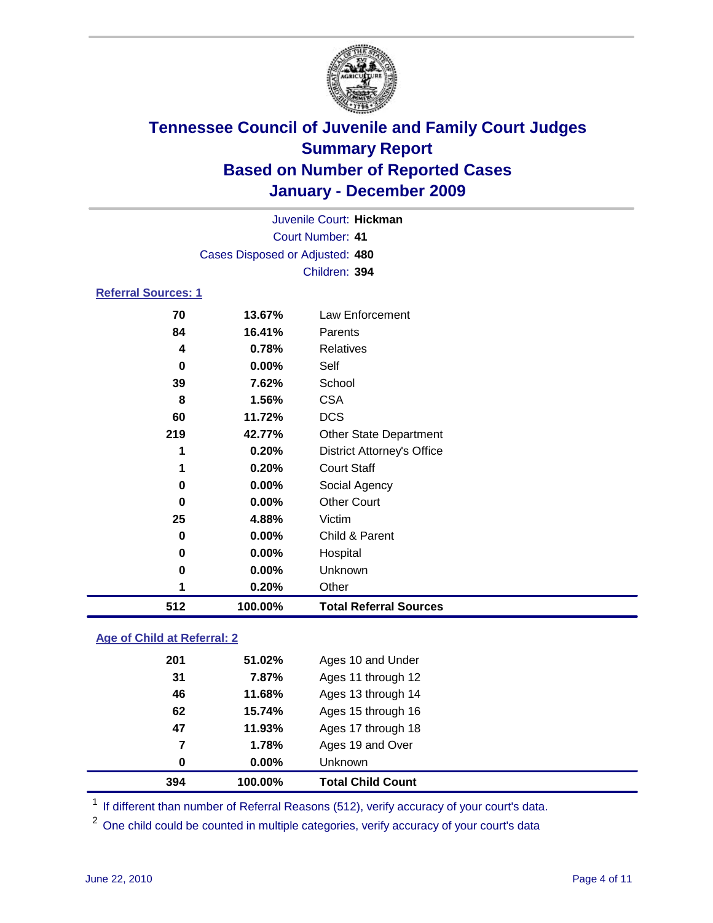

|                            | Juvenile Court: Hickman         |                                   |  |  |
|----------------------------|---------------------------------|-----------------------------------|--|--|
|                            |                                 | <b>Court Number: 41</b>           |  |  |
|                            | Cases Disposed or Adjusted: 480 |                                   |  |  |
|                            |                                 | Children: 394                     |  |  |
| <b>Referral Sources: 1</b> |                                 |                                   |  |  |
| 70                         | 13.67%                          | <b>Law Enforcement</b>            |  |  |
| 84                         | 16.41%                          | Parents                           |  |  |
| 4                          | 0.78%                           | <b>Relatives</b>                  |  |  |
| 0                          | 0.00%                           | Self                              |  |  |
| 39                         | 7.62%                           | School                            |  |  |
| 8                          | 1.56%                           | <b>CSA</b>                        |  |  |
| 60                         | 11.72%                          | <b>DCS</b>                        |  |  |
| 219                        | 42.77%                          | <b>Other State Department</b>     |  |  |
| 1                          | 0.20%                           | <b>District Attorney's Office</b> |  |  |
| 1                          | 0.20%                           | <b>Court Staff</b>                |  |  |
| 0                          | 0.00%                           | Social Agency                     |  |  |
| 0                          | 0.00%                           | <b>Other Court</b>                |  |  |
| 25                         | 4.88%                           | Victim                            |  |  |
| 0                          | 0.00%                           | Child & Parent                    |  |  |
| 0                          | 0.00%                           | Hospital                          |  |  |
| 0                          | $0.00\%$                        | Unknown                           |  |  |
| 1                          | 0.20%                           | Other                             |  |  |
| 512                        | 100.00%                         | <b>Total Referral Sources</b>     |  |  |

### **Age of Child at Referral: 2**

| 7<br>0 | 1.78%<br>$0.00\%$ | Ages 19 and Over<br><b>Unknown</b> |  |
|--------|-------------------|------------------------------------|--|
|        |                   |                                    |  |
|        |                   |                                    |  |
| 47     | 11.93%            | Ages 17 through 18                 |  |
| 62     | 15.74%            | Ages 15 through 16                 |  |
| 46     | 11.68%            | Ages 13 through 14                 |  |
| 31     | 7.87%             | Ages 11 through 12                 |  |
| 201    | 51.02%            | Ages 10 and Under                  |  |
|        |                   |                                    |  |

<sup>1</sup> If different than number of Referral Reasons (512), verify accuracy of your court's data.

<sup>2</sup> One child could be counted in multiple categories, verify accuracy of your court's data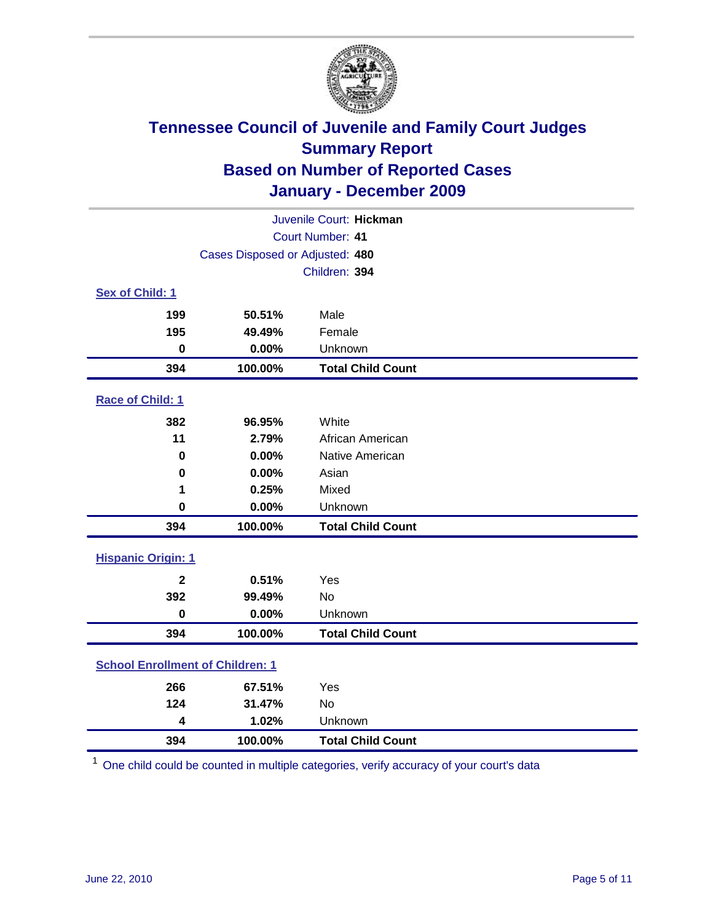

| Juvenile Court: Hickman                 |                                 |                          |  |  |  |
|-----------------------------------------|---------------------------------|--------------------------|--|--|--|
| Court Number: 41                        |                                 |                          |  |  |  |
|                                         | Cases Disposed or Adjusted: 480 |                          |  |  |  |
|                                         | Children: 394                   |                          |  |  |  |
| Sex of Child: 1                         |                                 |                          |  |  |  |
| 199                                     | 50.51%                          | Male                     |  |  |  |
| 195                                     | 49.49%                          | Female                   |  |  |  |
| $\mathbf 0$                             | 0.00%                           | Unknown                  |  |  |  |
| 394                                     | 100.00%                         | <b>Total Child Count</b> |  |  |  |
| Race of Child: 1                        |                                 |                          |  |  |  |
| 382                                     | 96.95%                          | White                    |  |  |  |
| 11                                      | 2.79%                           | African American         |  |  |  |
| $\mathbf 0$                             | 0.00%                           | Native American          |  |  |  |
| $\mathbf 0$                             | 0.00%                           | Asian                    |  |  |  |
| 1                                       | 0.25%                           | Mixed                    |  |  |  |
| $\mathbf 0$                             | 0.00%                           | Unknown                  |  |  |  |
| 394                                     | 100.00%                         | <b>Total Child Count</b> |  |  |  |
| <b>Hispanic Origin: 1</b>               |                                 |                          |  |  |  |
| $\mathbf{2}$                            | 0.51%                           | Yes                      |  |  |  |
| 392                                     | 99.49%                          | No                       |  |  |  |
| $\mathbf 0$                             | 0.00%                           | Unknown                  |  |  |  |
| 394                                     | 100.00%                         | <b>Total Child Count</b> |  |  |  |
| <b>School Enrollment of Children: 1</b> |                                 |                          |  |  |  |
| 266                                     | 67.51%                          | Yes                      |  |  |  |
| 124                                     | 31.47%                          | No                       |  |  |  |
| 4                                       | 1.02%                           | Unknown                  |  |  |  |
| 394                                     | 100.00%                         | <b>Total Child Count</b> |  |  |  |

One child could be counted in multiple categories, verify accuracy of your court's data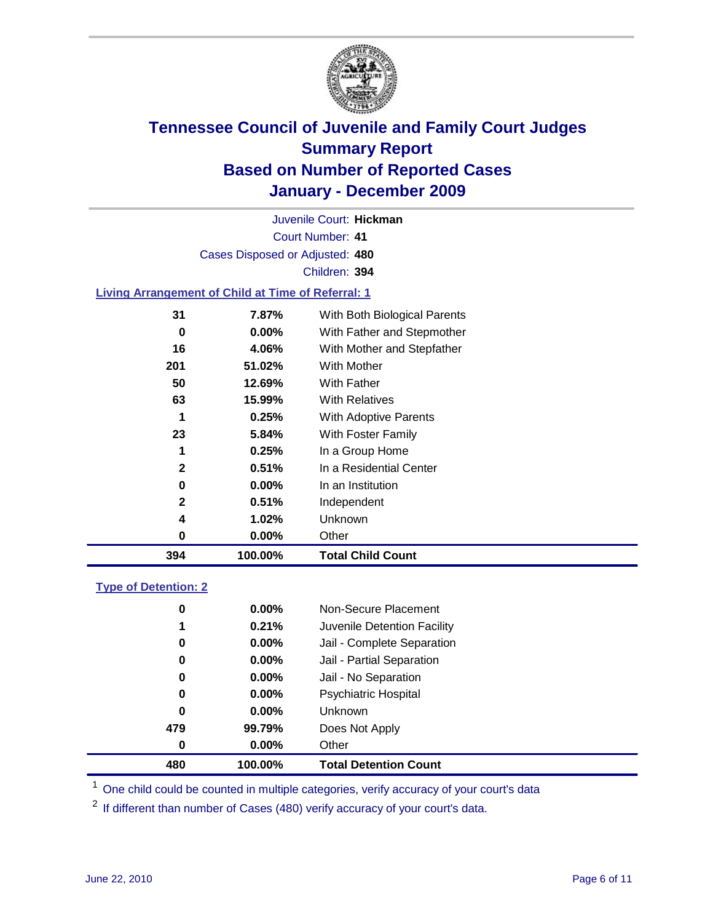

Court Number: **41** Juvenile Court: **Hickman** Cases Disposed or Adjusted: **480** Children: **394**

### **Living Arrangement of Child at Time of Referral: 1**

| 394 | 100.00%  | <b>Total Child Count</b>     |
|-----|----------|------------------------------|
| 0   | 0.00%    | Other                        |
| 4   | 1.02%    | Unknown                      |
| 2   | 0.51%    | Independent                  |
| 0   | $0.00\%$ | In an Institution            |
| 2   | 0.51%    | In a Residential Center      |
| 1   | 0.25%    | In a Group Home              |
| 23  | 5.84%    | With Foster Family           |
| 1   | 0.25%    | With Adoptive Parents        |
| 63  | 15.99%   | <b>With Relatives</b>        |
| 50  | 12.69%   | With Father                  |
| 201 | 51.02%   | With Mother                  |
| 16  | 4.06%    | With Mother and Stepfather   |
| 0   | 0.00%    | With Father and Stepmother   |
| 31  | 7.87%    | With Both Biological Parents |
|     |          |                              |

#### **Type of Detention: 2**

| 480      | 100.00%  | <b>Total Detention Count</b> |
|----------|----------|------------------------------|
| 0        | $0.00\%$ | Other                        |
| 479      | 99.79%   | Does Not Apply               |
| 0        | $0.00\%$ | Unknown                      |
| 0        | 0.00%    | <b>Psychiatric Hospital</b>  |
| $\bf{0}$ | 0.00%    | Jail - No Separation         |
| 0        | $0.00\%$ | Jail - Partial Separation    |
| 0        | $0.00\%$ | Jail - Complete Separation   |
| 1        | 0.21%    | Juvenile Detention Facility  |
| 0        | $0.00\%$ | Non-Secure Placement         |
|          |          |                              |

<sup>1</sup> One child could be counted in multiple categories, verify accuracy of your court's data

<sup>2</sup> If different than number of Cases (480) verify accuracy of your court's data.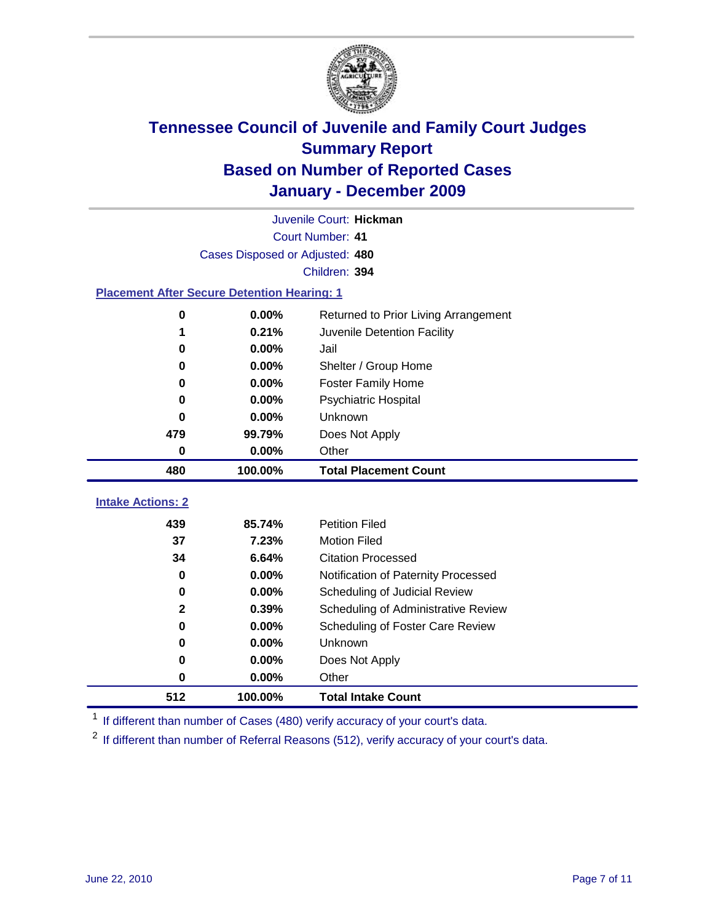

|                                                    | Juvenile Court: Hickman         |                                      |  |  |  |
|----------------------------------------------------|---------------------------------|--------------------------------------|--|--|--|
|                                                    | Court Number: 41                |                                      |  |  |  |
|                                                    | Cases Disposed or Adjusted: 480 |                                      |  |  |  |
|                                                    |                                 | Children: 394                        |  |  |  |
| <b>Placement After Secure Detention Hearing: 1</b> |                                 |                                      |  |  |  |
| 0                                                  | 0.00%                           | Returned to Prior Living Arrangement |  |  |  |
| 1                                                  | 0.21%                           | Juvenile Detention Facility          |  |  |  |
| 0                                                  | 0.00%                           | Jail                                 |  |  |  |
| 0                                                  | 0.00%                           | Shelter / Group Home                 |  |  |  |
| 0                                                  | 0.00%                           | <b>Foster Family Home</b>            |  |  |  |
| 0                                                  | 0.00%                           | Psychiatric Hospital                 |  |  |  |
| 0                                                  | 0.00%                           | Unknown                              |  |  |  |
| 479                                                | 99.79%                          | Does Not Apply                       |  |  |  |
| 0                                                  | 0.00%                           | Other                                |  |  |  |
| 480                                                | 100.00%                         | <b>Total Placement Count</b>         |  |  |  |
| <b>Intake Actions: 2</b>                           |                                 |                                      |  |  |  |
|                                                    |                                 |                                      |  |  |  |
| 439                                                | 85.74%                          | <b>Petition Filed</b>                |  |  |  |
| 37                                                 | 7.23%                           | <b>Motion Filed</b>                  |  |  |  |
| 34                                                 | 6.64%                           | <b>Citation Processed</b>            |  |  |  |
| 0                                                  | 0.00%                           | Notification of Paternity Processed  |  |  |  |
| 0                                                  | $0.00\%$                        | Scheduling of Judicial Review        |  |  |  |
| 2                                                  | 0.39%                           | Scheduling of Administrative Review  |  |  |  |
| 0                                                  | 0.00%                           | Scheduling of Foster Care Review     |  |  |  |
| 0                                                  | 0.00%                           | Unknown                              |  |  |  |
| 0                                                  | 0.00%                           | Does Not Apply                       |  |  |  |
| 0                                                  | 0.00%                           | Other                                |  |  |  |
| 512                                                | 100.00%                         | <b>Total Intake Count</b>            |  |  |  |

<sup>1</sup> If different than number of Cases (480) verify accuracy of your court's data.

<sup>2</sup> If different than number of Referral Reasons (512), verify accuracy of your court's data.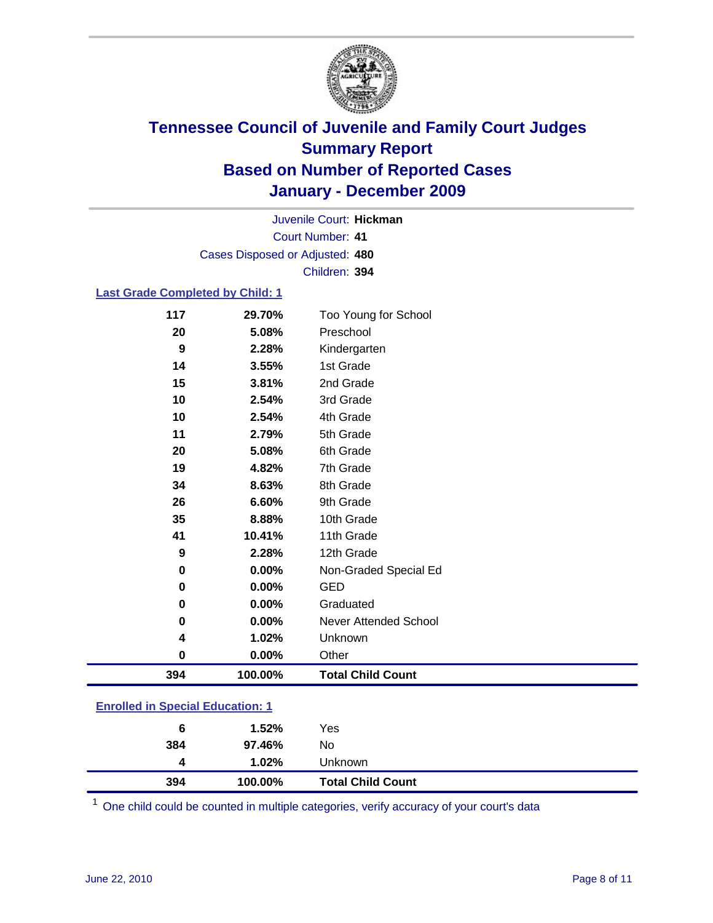

Court Number: **41** Juvenile Court: **Hickman** Cases Disposed or Adjusted: **480** Children: **394**

### **Last Grade Completed by Child: 1**

| 117      | 29.70%  | Too Young for School         |
|----------|---------|------------------------------|
| 20       | 5.08%   | Preschool                    |
| 9        | 2.28%   | Kindergarten                 |
| 14       | 3.55%   | 1st Grade                    |
| 15       | 3.81%   | 2nd Grade                    |
| 10       | 2.54%   | 3rd Grade                    |
| 10       | 2.54%   | 4th Grade                    |
| 11       | 2.79%   | 5th Grade                    |
| 20       | 5.08%   | 6th Grade                    |
| 19       | 4.82%   | 7th Grade                    |
| 34       | 8.63%   | 8th Grade                    |
| 26       | 6.60%   | 9th Grade                    |
| 35       | 8.88%   | 10th Grade                   |
| 41       | 10.41%  | 11th Grade                   |
| 9        | 2.28%   | 12th Grade                   |
| 0        | 0.00%   | Non-Graded Special Ed        |
| $\bf{0}$ | 0.00%   | <b>GED</b>                   |
| 0        | 0.00%   | Graduated                    |
| 0        | 0.00%   | <b>Never Attended School</b> |
| 4        | 1.02%   | Unknown                      |
| 0        | 0.00%   | Other                        |
| 394      | 100.00% | <b>Total Child Count</b>     |
|          |         |                              |

### **Enrolled in Special Education: 1**

| 394 | 100.00%  | <b>Total Child Count</b> |
|-----|----------|--------------------------|
| 4   | $1.02\%$ | Unknown                  |
| 384 | 97.46%   | No                       |
| 6   | 1.52%    | Yes                      |
|     |          |                          |

One child could be counted in multiple categories, verify accuracy of your court's data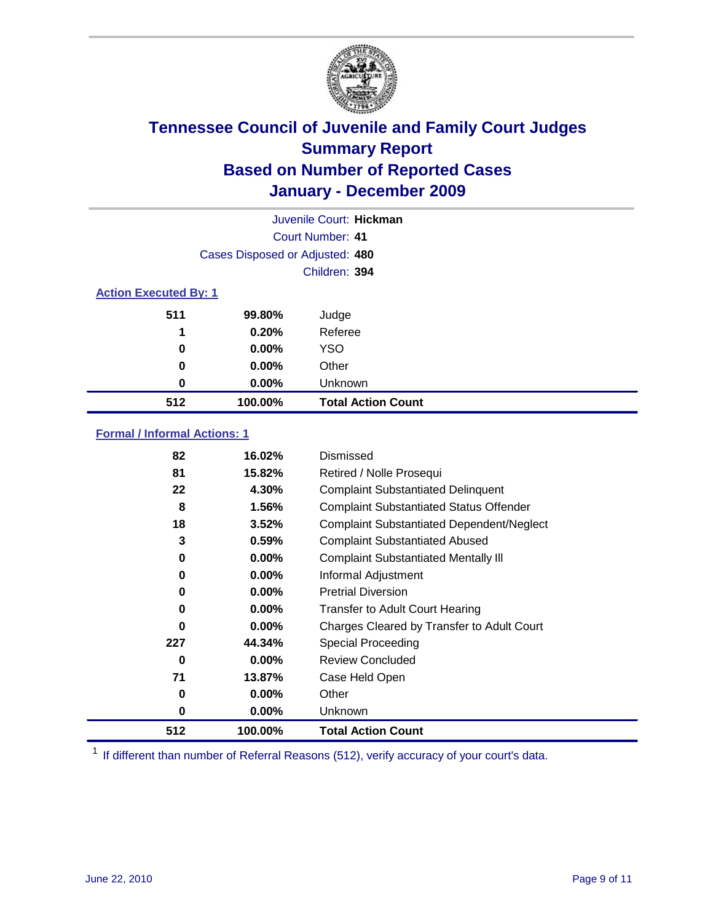

| Juvenile Court: Hickman      |                                 |                           |  |  |
|------------------------------|---------------------------------|---------------------------|--|--|
|                              | Court Number: 41                |                           |  |  |
|                              | Cases Disposed or Adjusted: 480 |                           |  |  |
|                              | Children: 394                   |                           |  |  |
| <b>Action Executed By: 1</b> |                                 |                           |  |  |
| 511                          | 99.80%                          | Judge                     |  |  |
| 1                            | 0.20%                           | Referee                   |  |  |
| 0                            | $0.00\%$                        | <b>YSO</b>                |  |  |
| 0                            | $0.00\%$                        | Other                     |  |  |
| 0                            | $0.00\%$                        | Unknown                   |  |  |
| 512                          | 100.00%                         | <b>Total Action Count</b> |  |  |

### **Formal / Informal Actions: 1**

| 82  | 16.02%   | Dismissed                                        |
|-----|----------|--------------------------------------------------|
| 81  | 15.82%   | Retired / Nolle Prosequi                         |
| 22  | 4.30%    | <b>Complaint Substantiated Delinquent</b>        |
| 8   | 1.56%    | <b>Complaint Substantiated Status Offender</b>   |
| 18  | 3.52%    | <b>Complaint Substantiated Dependent/Neglect</b> |
| 3   | 0.59%    | <b>Complaint Substantiated Abused</b>            |
| 0   | $0.00\%$ | <b>Complaint Substantiated Mentally III</b>      |
| 0   | $0.00\%$ | Informal Adjustment                              |
| 0   | $0.00\%$ | <b>Pretrial Diversion</b>                        |
| 0   | $0.00\%$ | <b>Transfer to Adult Court Hearing</b>           |
| 0   | 0.00%    | Charges Cleared by Transfer to Adult Court       |
| 227 | 44.34%   | <b>Special Proceeding</b>                        |
| 0   | 0.00%    | <b>Review Concluded</b>                          |
| 71  | 13.87%   | Case Held Open                                   |
| 0   | $0.00\%$ | Other                                            |
| 0   | $0.00\%$ | Unknown                                          |
| 512 | 100.00%  | <b>Total Action Count</b>                        |

<sup>1</sup> If different than number of Referral Reasons (512), verify accuracy of your court's data.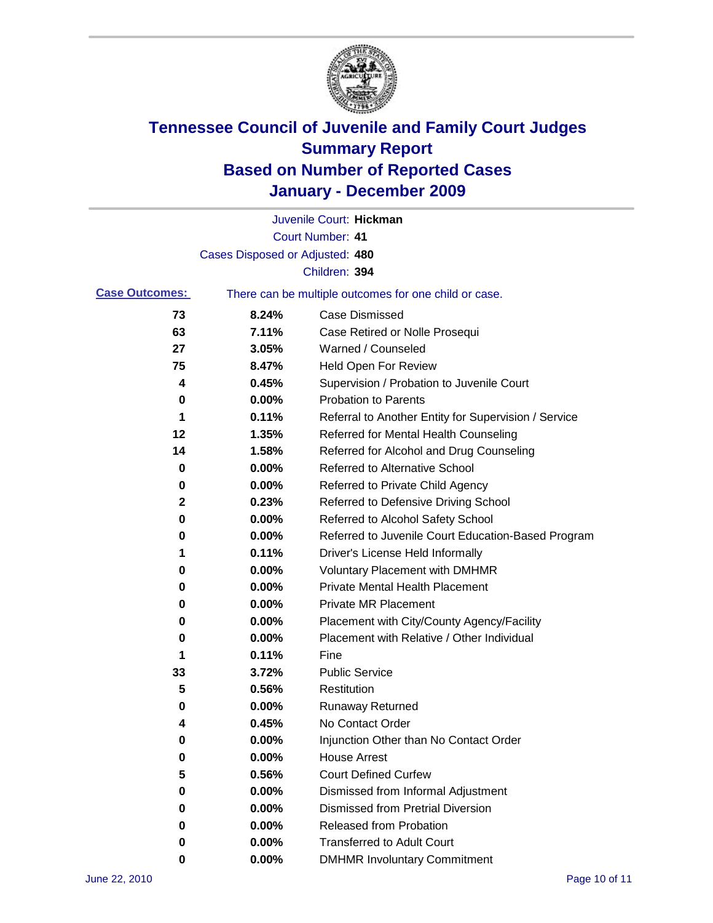

|                       |                                 | Juvenile Court: Hickman                               |
|-----------------------|---------------------------------|-------------------------------------------------------|
|                       |                                 | <b>Court Number: 41</b>                               |
|                       | Cases Disposed or Adjusted: 480 |                                                       |
|                       |                                 | Children: 394                                         |
| <b>Case Outcomes:</b> |                                 | There can be multiple outcomes for one child or case. |
| 73                    | 8.24%                           | <b>Case Dismissed</b>                                 |
| 63                    | 7.11%                           | Case Retired or Nolle Prosequi                        |
| 27                    | 3.05%                           | Warned / Counseled                                    |
| 75                    | 8.47%                           | <b>Held Open For Review</b>                           |
| 4                     | 0.45%                           | Supervision / Probation to Juvenile Court             |
| 0                     | 0.00%                           | <b>Probation to Parents</b>                           |
| 1                     | 0.11%                           | Referral to Another Entity for Supervision / Service  |
| 12                    | 1.35%                           | Referred for Mental Health Counseling                 |
| 14                    | 1.58%                           | Referred for Alcohol and Drug Counseling              |
| 0                     | 0.00%                           | <b>Referred to Alternative School</b>                 |
| 0                     | 0.00%                           | Referred to Private Child Agency                      |
| 2                     | 0.23%                           | Referred to Defensive Driving School                  |
| 0                     | 0.00%                           | Referred to Alcohol Safety School                     |
| 0                     | 0.00%                           | Referred to Juvenile Court Education-Based Program    |
| 1                     | 0.11%                           | Driver's License Held Informally                      |
| 0                     | 0.00%                           | <b>Voluntary Placement with DMHMR</b>                 |
| 0                     | 0.00%                           | <b>Private Mental Health Placement</b>                |
| 0                     | 0.00%                           | <b>Private MR Placement</b>                           |
| 0                     | 0.00%                           | Placement with City/County Agency/Facility            |
| 0                     | 0.00%                           | Placement with Relative / Other Individual            |
| 1                     | 0.11%                           | Fine                                                  |
| 33                    | 3.72%                           | <b>Public Service</b>                                 |
| 5                     | 0.56%                           | Restitution                                           |
| 0                     | 0.00%                           | <b>Runaway Returned</b>                               |
| 4                     | 0.45%                           | No Contact Order                                      |
| 0                     | 0.00%                           | Injunction Other than No Contact Order                |
| 0                     | 0.00%                           | <b>House Arrest</b>                                   |
| 5                     | 0.56%                           | <b>Court Defined Curfew</b>                           |
| 0                     | 0.00%                           | Dismissed from Informal Adjustment                    |
| 0                     | 0.00%                           | <b>Dismissed from Pretrial Diversion</b>              |
| 0                     | 0.00%                           | Released from Probation                               |
| 0                     | 0.00%                           | <b>Transferred to Adult Court</b>                     |
| 0                     | $0.00\%$                        | <b>DMHMR Involuntary Commitment</b>                   |